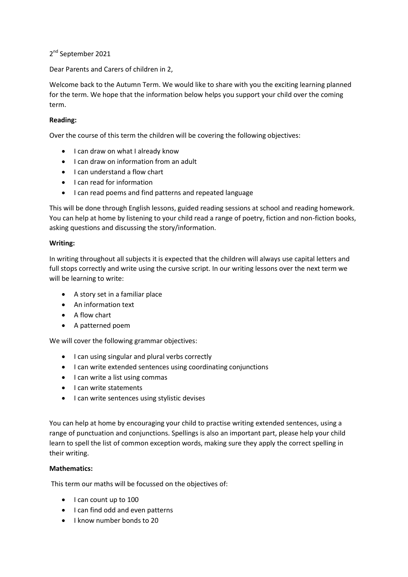2<sup>nd</sup> September 2021

Dear Parents and Carers of children in 2,

Welcome back to the Autumn Term. We would like to share with you the exciting learning planned for the term. We hope that the information below helps you support your child over the coming term.

## **Reading:**

Over the course of this term the children will be covering the following objectives:

- I can draw on what I already know
- I can draw on information from an adult
- I can understand a flow chart
- I can read for information
- I can read poems and find patterns and repeated language

This will be done through English lessons, guided reading sessions at school and reading homework. You can help at home by listening to your child read a range of poetry, fiction and non-fiction books, asking questions and discussing the story/information.

## **Writing:**

In writing throughout all subjects it is expected that the children will always use capital letters and full stops correctly and write using the cursive script. In our writing lessons over the next term we will be learning to write:

- A story set in a familiar place
- An information text
- A flow chart
- A patterned poem

We will cover the following grammar objectives:

- I can using singular and plural verbs correctly
- I can write extended sentences using coordinating conjunctions
- I can write a list using commas
- I can write statements
- I can write sentences using stylistic devises

You can help at home by encouraging your child to practise writing extended sentences, using a range of punctuation and conjunctions. Spellings is also an important part, please help your child learn to spell the list of common exception words, making sure they apply the correct spelling in their writing.

## **Mathematics:**

This term our maths will be focussed on the objectives of:

- I can count up to 100
- I can find odd and even patterns
- I know number bonds to 20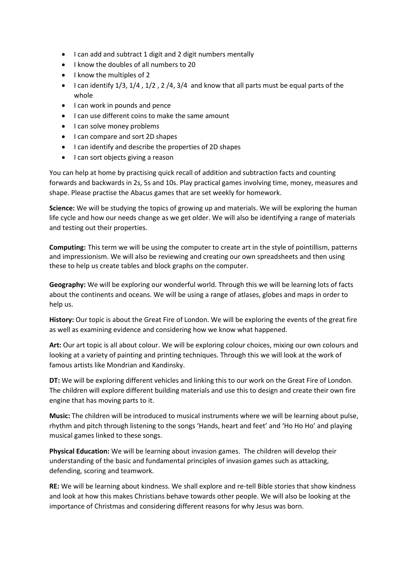- I can add and subtract 1 digit and 2 digit numbers mentally
- I know the doubles of all numbers to 20
- $\bullet$  I know the multiples of 2
- I can identify 1/3, 1/4, 1/2, 2/4, 3/4 and know that all parts must be equal parts of the whole
- $\bullet$  I can work in pounds and pence
- I can use different coins to make the same amount
- I can solve money problems
- I can compare and sort 2D shapes
- I can identify and describe the properties of 2D shapes
- $\bullet$  I can sort objects giving a reason

You can help at home by practising quick recall of addition and subtraction facts and counting forwards and backwards in 2s, 5s and 10s. Play practical games involving time, money, measures and shape. Please practise the Abacus games that are set weekly for homework.

**Science:** We will be studying the topics of growing up and materials. We will be exploring the human life cycle and how our needs change as we get older. We will also be identifying a range of materials and testing out their properties.

**Computing:** This term we will be using the computer to create art in the style of pointillism, patterns and impressionism. We will also be reviewing and creating our own spreadsheets and then using these to help us create tables and block graphs on the computer.

**Geography:** We will be exploring our wonderful world. Through this we will be learning lots of facts about the continents and oceans. We will be using a range of atlases, globes and maps in order to help us.

**History:** Our topic is about the Great Fire of London. We will be exploring the events of the great fire as well as examining evidence and considering how we know what happened.

**Art:** Our art topic is all about colour. We will be exploring colour choices, mixing our own colours and looking at a variety of painting and printing techniques. Through this we will look at the work of famous artists like Mondrian and Kandinsky.

**DT:** We will be exploring different vehicles and linking this to our work on the Great Fire of London. The children will explore different building materials and use this to design and create their own fire engine that has moving parts to it.

**Music:** The children will be introduced to musical instruments where we will be learning about pulse, rhythm and pitch through listening to the songs 'Hands, heart and feet' and 'Ho Ho Ho' and playing musical games linked to these songs.

**Physical Education:** We will be learning about invasion games. The children will develop their understanding of the basic and fundamental principles of invasion games such as attacking, defending, scoring and teamwork.

**RE:** We will be learning about kindness. We shall explore and re-tell Bible stories that show kindness and look at how this makes Christians behave towards other people. We will also be looking at the importance of Christmas and considering different reasons for why Jesus was born.